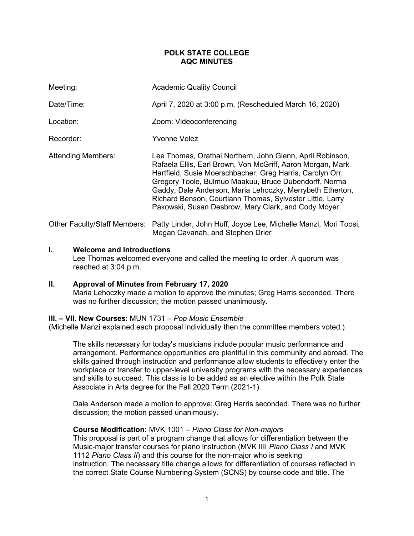# **POLK STATE COLLEGE AQC MINUTES**

| Meeting:                     | <b>Academic Quality Council</b>                                                                                                                                                                                                                                                                                                                                                                                                |
|------------------------------|--------------------------------------------------------------------------------------------------------------------------------------------------------------------------------------------------------------------------------------------------------------------------------------------------------------------------------------------------------------------------------------------------------------------------------|
| Date/Time:                   | April 7, 2020 at 3:00 p.m. (Rescheduled March 16, 2020)                                                                                                                                                                                                                                                                                                                                                                        |
| Location:                    | Zoom: Videoconferencing                                                                                                                                                                                                                                                                                                                                                                                                        |
| Recorder:                    | Yvonne Velez                                                                                                                                                                                                                                                                                                                                                                                                                   |
| <b>Attending Members:</b>    | Lee Thomas, Orathai Northern, John Glenn, April Robinson,<br>Rafaela Ellis, Earl Brown, Von McGriff, Aaron Morgan, Mark<br>Hartfield, Susie Moerschbacher, Greg Harris, Carolyn Orr,<br>Gregory Toole, Bulmuo Maakuu, Bruce Dubendorff, Norma<br>Gaddy, Dale Anderson, Maria Lehoczky, Merrybeth Etherton,<br>Richard Benson, Courtlann Thomas, Sylvester Little, Larry<br>Pakowski, Susan Desbrow, Mary Clark, and Cody Moyer |
| Other Faculty/Staff Members: | Patty Linder, John Huff, Joyce Lee, Michelle Manzi, Mori Toosi,<br>Megan Cavanah, and Stephen Drier                                                                                                                                                                                                                                                                                                                            |

# **I. Welcome and Introductions**

Lee Thomas welcomed everyone and called the meeting to order. A quorum was reached at 3:04 p.m.

## **II. Approval of Minutes from February 17, 2020**

Maria Lehoczky made a motion to approve the minutes; Greg Harris seconded. There was no further discussion; the motion passed unanimously.

## **III. – VII. New Courses**: MUN 1731 – *Pop Music Ensemble*

(Michelle Manzi explained each proposal individually then the committee members voted.)

The skills necessary for today's musicians include popular music performance and arrangement. Performance opportunities are plentiful in this community and abroad. The skills gained through instruction and performance allow students to effectively enter the workplace or transfer to upper-level university programs with the necessary experiences and skills to succeed. This class is to be added as an elective within the Polk State Associate in Arts degree for the Fall 2020 Term (2021-1).

Dale Anderson made a motion to approve; Greg Harris seconded. There was no further discussion; the motion passed unanimously.

## **Course Modification:** MVK 1001 – *Piano Class for Non-majors*

This proposal is part of a program change that allows for differentiation between the Music-major transfer courses for piano instruction (MVK IIII *Piano Class I* and MVK 1112 *Piano Class II*) and this course for the non-major who is seeking instruction. The necessary title change allows for differentiation of courses reflected in the correct State Course Numbering System (SCNS) by course code and title. The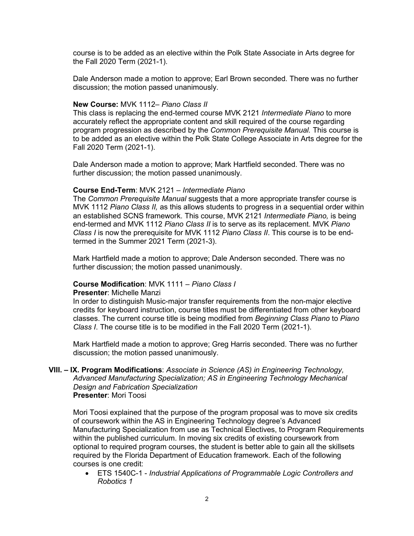course is to be added as an elective within the Polk State Associate in Arts degree for the Fall 2020 Term (2021-1).

Dale Anderson made a motion to approve; Earl Brown seconded. There was no further discussion; the motion passed unanimously.

## **New Course:** MVK 1112– *Piano Class II*

This class is replacing the end-termed course MVK 2121 *Intermediate Piano* to more accurately reflect the appropriate content and skill required of the course regarding program progression as described by the *Common Prerequisite Manual.* This course is to be added as an elective within the Polk State College Associate in Arts degree for the Fall 2020 Term (2021-1).

Dale Anderson made a motion to approve; Mark Hartfield seconded. There was no further discussion; the motion passed unanimously.

## **Course End-Term**: MVK 2121 – *Intermediate Piano*

The *Common Prerequisite Manual* suggests that a more appropriate transfer course is MVK 1112 *Piano Class II,* as this allows students to progress in a sequential order within an established SCNS framework. This course, MVK 2121 *Intermediate Piano,* is being end-termed and MVK 1112 *Piano Class II* is to serve as its replacement. MVK *Piano Class I* is now the prerequisite for MVK 1112 *Piano Class II*. This course is to be endtermed in the Summer 2021 Term (2021-3).

Mark Hartfield made a motion to approve; Dale Anderson seconded. There was no further discussion; the motion passed unanimously.

### **Course Modification**: MVK 1111 – *Piano Class I*

#### **Presenter**: Michelle Manzi

In order to distinguish Music-major transfer requirements from the non-major elective credits for keyboard instruction, course titles must be differentiated from other keyboard classes. The current course title is being modified from *Beginning Class Piano* to *Piano Class I*. The course title is to be modified in the Fall 2020 Term (2021-1).

Mark Hartfield made a motion to approve; Greg Harris seconded. There was no further discussion; the motion passed unanimously.

### **VIII. – IX. Program Modifications**: *Associate in Science (AS) in Engineering Technology, Advanced Manufacturing Specialization; AS in Engineering Technology Mechanical Design and Fabrication Specialization* **Presenter**: Mori Toosi

Mori Toosi explained that the purpose of the program proposal was to move six credits of coursework within the AS in Engineering Technology degree's Advanced Manufacturing Specialization from use as Technical Electives, to Program Requirements within the published curriculum. In moving six credits of existing coursework from optional to required program courses, the student is better able to gain all the skillsets required by the Florida Department of Education framework. Each of the following courses is one credit:

• ETS 1540C-1 - *Industrial Applications of Programmable Logic Controllers and Robotics 1*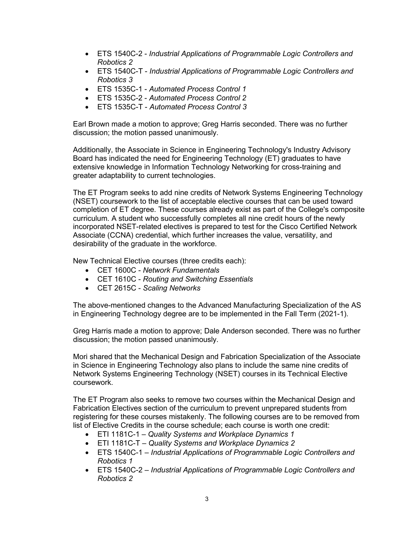- ETS 1540C-2 *Industrial Applications of Programmable Logic Controllers and Robotics 2*
- ETS 1540C-T *Industrial Applications of Programmable Logic Controllers and Robotics 3*
- ETS 1535C-1 *Automated Process Control 1*
- ETS 1535C-2 *Automated Process Control 2*
- ETS 1535C-T *Automated Process Control 3*

Earl Brown made a motion to approve; Greg Harris seconded. There was no further discussion; the motion passed unanimously.

Additionally, the Associate in Science in Engineering Technology's Industry Advisory Board has indicated the need for Engineering Technology (ET) graduates to have extensive knowledge in Information Technology Networking for cross-training and greater adaptability to current technologies.

The ET Program seeks to add nine credits of Network Systems Engineering Technology (NSET) coursework to the list of acceptable elective courses that can be used toward completion of ET degree. These courses already exist as part of the College's composite curriculum. A student who successfully completes all nine credit hours of the newly incorporated NSET-related electives is prepared to test for the Cisco Certified Network Associate (CCNA) credential, which further increases the value, versatility, and desirability of the graduate in the workforce.

New Technical Elective courses (three credits each):

- CET 1600C *Network Fundamentals*
- CET 1610C *Routing and Switching Essentials*
- CET 2615C *Scaling Networks*

The above-mentioned changes to the Advanced Manufacturing Specialization of the AS in Engineering Technology degree are to be implemented in the Fall Term (2021-1).

Greg Harris made a motion to approve; Dale Anderson seconded. There was no further discussion; the motion passed unanimously.

Mori shared that the Mechanical Design and Fabrication Specialization of the Associate in Science in Engineering Technology also plans to include the same nine credits of Network Systems Engineering Technology (NSET) courses in its Technical Elective coursework.

The ET Program also seeks to remove two courses within the Mechanical Design and Fabrication Electives section of the curriculum to prevent unprepared students from registering for these courses mistakenly. The following courses are to be removed from list of Elective Credits in the course schedule; each course is worth one credit:

- ETI 1181C-1 *Quality Systems and Workplace Dynamics 1*
- ETI 1181C-T *Quality Systems and Workplace Dynamics 2*
- ETS 1540C-1 *Industrial Applications of Programmable Logic Controllers and Robotics 1*
- ETS 1540C-2 *Industrial Applications of Programmable Logic Controllers and Robotics 2*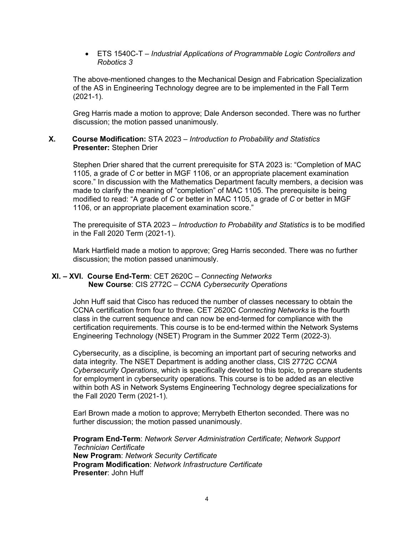• ETS 1540C-T – *Industrial Applications of Programmable Logic Controllers and Robotics 3*

The above-mentioned changes to the Mechanical Design and Fabrication Specialization of the AS in Engineering Technology degree are to be implemented in the Fall Term (2021-1).

Greg Harris made a motion to approve; Dale Anderson seconded. There was no further discussion; the motion passed unanimously.

# **X. Course Modification:** STA 2023 – *Introduction to Probability and Statistics* **Presenter:** Stephen Drier

Stephen Drier shared that the current prerequisite for STA 2023 is: "Completion of MAC 1105, a grade of *C* or better in MGF 1106, or an appropriate placement examination score." In discussion with the Mathematics Department faculty members, a decision was made to clarify the meaning of "completion" of MAC 1105. The prerequisite is being modified to read: "A grade of *C* or better in MAC 1105, a grade of *C* or better in MGF 1106, or an appropriate placement examination score."

The prerequisite of STA 2023 – *Introduction to Probability and Statistics* is to be modified in the Fall 2020 Term (2021-1).

Mark Hartfield made a motion to approve; Greg Harris seconded. There was no further discussion; the motion passed unanimously.

# **XI. – XVI. Course End-Term**: CET 2620C – *Connecting Networks* **New Course**: CIS 2772C – *CCNA Cybersecurity Operations*

John Huff said that Cisco has reduced the number of classes necessary to obtain the CCNA certification from four to three. CET 2620C *Connecting Networks* is the fourth class in the current sequence and can now be end-termed for compliance with the certification requirements. This course is to be end-termed within the Network Systems Engineering Technology (NSET) Program in the Summer 2022 Term (2022-3).

Cybersecurity, as a discipline, is becoming an important part of securing networks and data integrity. The NSET Department is adding another class, CIS 2772C *CCNA Cybersecurity Operations*, which is specifically devoted to this topic, to prepare students for employment in cybersecurity operations. This course is to be added as an elective within both AS in Network Systems Engineering Technology degree specializations for the Fall 2020 Term (2021-1).

Earl Brown made a motion to approve; Merrybeth Etherton seconded. There was no further discussion; the motion passed unanimously.

**Program End-Term**: *Network Server Administration Certificate*; *Network Support Technician Certificate* **New Program**: *Network Security Certificate* **Program Modification**: *Network Infrastructure Certificate* **Presenter**: John Huff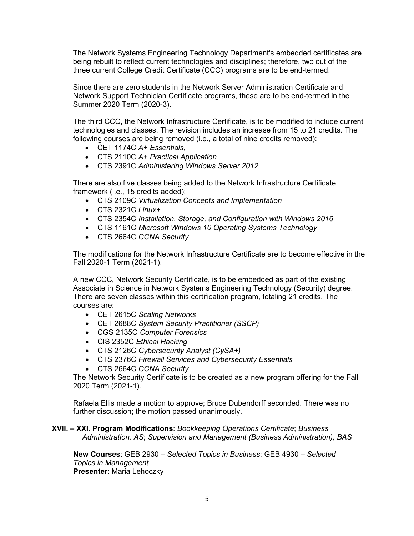The Network Systems Engineering Technology Department's embedded certificates are being rebuilt to reflect current technologies and disciplines; therefore, two out of the three current College Credit Certificate (CCC) programs are to be end-termed.

Since there are zero students in the Network Server Administration Certificate and Network Support Technician Certificate programs, these are to be end-termed in the Summer 2020 Term (2020-3).

The third CCC, the Network Infrastructure Certificate, is to be modified to include current technologies and classes. The revision includes an increase from 15 to 21 credits. The following courses are being removed (i.e., a total of nine credits removed):

- CET 1174C *A+ Essentials*,
- CTS 2110C *A+ Practical Application*
- CTS 2391C *Administering Windows Server 2012*

There are also five classes being added to the Network Infrastructure Certificate framework (i.e., 15 credits added):

- CTS 2109C *Virtualization Concepts and Implementation*
- CTS 2321C *Linux+*
- CTS 2354C *Installation, Storage, and Configuration with Windows 2016*
- CTS 1161C *Microsoft Windows 10 Operating Systems Technology*
- CTS 2664C *CCNA Security*

The modifications for the Network Infrastructure Certificate are to become effective in the Fall 2020-1 Term (2021-1).

A new CCC, Network Security Certificate, is to be embedded as part of the existing Associate in Science in Network Systems Engineering Technology (Security) degree. There are seven classes within this certification program, totaling 21 credits. The courses are:

- CET 2615C *Scaling Networks*
- CET 2688C *System Security Practitioner (SSCP)*
- CGS 2135C *Computer Forensics*
- CIS 2352C *Ethical Hacking*
- CTS 2126C *Cybersecurity Analyst (CySA+)*
- CTS 2376C *Firewall Services and Cybersecurity Essentials*
- CTS 2664C *CCNA Security*

The Network Security Certificate is to be created as a new program offering for the Fall 2020 Term (2021-1).

Rafaela Ellis made a motion to approve; Bruce Dubendorff seconded. There was no further discussion; the motion passed unanimously.

# **XVII. – XXI. Program Modifications**: *Bookkeeping Operations Certificate*; *Business Administration, AS*; *Supervision and Management (Business Administration), BAS*

**New Courses**: GEB 2930 – *Selected Topics in Business*; GEB 4930 – *Selected Topics in Management* **Presenter**: Maria Lehoczky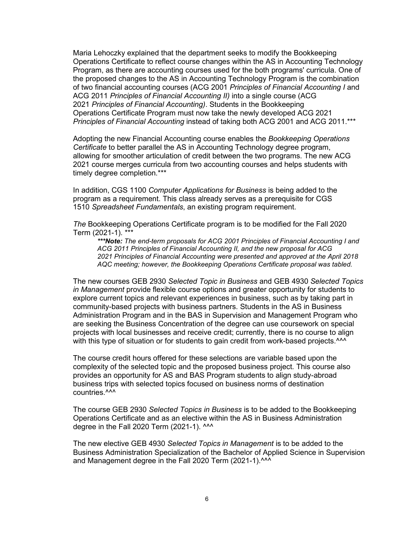Maria Lehoczky explained that the department seeks to modify the Bookkeeping Operations Certificate to reflect course changes within the AS in Accounting Technology Program, as there are accounting courses used for the both programs' curricula. One of the proposed changes to the AS in Accounting Technology Program is the combination of two financial accounting courses (ACG 2001 *Principles of Financial Accounting I* and ACG 2011 *Principles of Financial Accounting II)* into a single course (ACG 2021 *Principles of Financial Accounting)*. Students in the Bookkeeping Operations Certificate Program must now take the newly developed ACG 2021 *Principles of Financial Accounting* instead of taking both ACG 2001 and ACG 2011.\*\*\*

Adopting the new Financial Accounting course enables the *Bookkeeping Operations Certificate* to better parallel the AS in Accounting Technology degree program, allowing for smoother articulation of credit between the two programs. The new ACG 2021 course merges curricula from two accounting courses and helps students with timely degree completion.\*\*\*

In addition, CGS 1100 *Computer Applications for Business* is being added to the program as a requirement. This class already serves as a prerequisite for CGS 1510 *Spreadsheet Fundamentals*, an existing program requirement.

*The* Bookkeeping Operations Certificate program is to be modified for the Fall 2020 Term (2021-1). \*\*\*

*\*\*\*Note: The end-term proposals for ACG 2001 Principles of Financial Accounting I and ACG 2011 Principles of Financial Accounting II, and the new proposal for ACG 2021 Principles of Financial Accounting were presented and approved at the April 2018 AQC meeting; however, the Bookkeeping Operations Certificate proposal was tabled.*

The new courses GEB 2930 *Selected Topic in Business* and GEB 4930 *Selected Topics in Management* provide flexible course options and greater opportunity for students to explore current topics and relevant experiences in business, such as by taking part in community-based projects with business partners. Students in the AS in Business Administration Program and in the BAS in Supervision and Management Program who are seeking the Business Concentration of the degree can use coursework on special projects with local businesses and receive credit; currently, there is no course to align with this type of situation or for students to gain credit from work-based projects.^^^

The course credit hours offered for these selections are variable based upon the complexity of the selected topic and the proposed business project. This course also provides an opportunity for AS and BAS Program students to align study-abroad business trips with selected topics focused on business norms of destination countries.<sup>^^^</sup>

The course GEB 2930 *Selected Topics in Business* is to be added to the Bookkeeping Operations Certificate and as an elective within the AS in Business Administration degree in the Fall 2020 Term (2021-1). ^^^

The new elective GEB 4930 *Selected Topics in Management* is to be added to the Business Administration Specialization of the Bachelor of Applied Science in Supervision and Management degree in the Fall 2020 Term (2021-1).<sup>^^^</sup>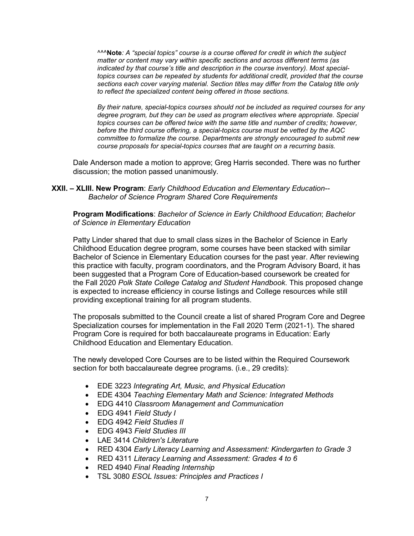^^^**Note***: A "special topics" course is a course offered for credit in which the subject matter or content may vary within specific sections and across different terms (as indicated by that course's title and description in the course inventory). Most specialtopics courses can be repeated by students for additional credit, provided that the course sections each cover varying material. Section titles may differ from the Catalog title only to reflect the specialized content being offered in those sections.*

*By their nature, special-topics courses should not be included as required courses for any degree program, but they can be used as program electives where appropriate. Special topics courses can be offered twice with the same title and number of credits; however, before the third course offering, a special-topics course must be vetted by the AQC committee to formalize the course. Departments are strongly encouraged to submit new course proposals for special-topics courses that are taught on a recurring basis.*

Dale Anderson made a motion to approve; Greg Harris seconded. There was no further discussion; the motion passed unanimously.

# **XXII. – XLIII. New Program**: *Early Childhood Education and Elementary Education-- Bachelor of Science Program Shared Core Requirements*

**Program Modifications**: *Bachelor of Science in Early Childhood Education*; *Bachelor of Science in Elementary Education*

Patty Linder shared that due to small class sizes in the Bachelor of Science in Early Childhood Education degree program, some courses have been stacked with similar Bachelor of Science in Elementary Education courses for the past year. After reviewing this practice with faculty, program coordinators, and the Program Advisory Board, it has been suggested that a Program Core of Education-based coursework be created for the Fall 2020 *Polk State College Catalog and Student Handbook*. This proposed change is expected to increase efficiency in course listings and College resources while still providing exceptional training for all program students.

The proposals submitted to the Council create a list of shared Program Core and Degree Specialization courses for implementation in the Fall 2020 Term (2021-1). The shared Program Core is required for both baccalaureate programs in Education: Early Childhood Education and Elementary Education.

The newly developed Core Courses are to be listed within the Required Coursework section for both baccalaureate degree programs. (i.e., 29 credits):

- EDE 3223 *Integrating Art, Music, and Physical Education*
- EDE 4304 *Teaching Elementary Math and Science: Integrated Methods*
- EDG 4410 *Classroom Management and Communication*
- EDG 4941 *Field Study I*
- EDG 4942 *Field Studies II*
- EDG 4943 *Field Studies III*
- LAE 3414 *Children's Literature*
- RED 4304 *Early Literacy Learning and Assessment: Kindergarten to Grade 3*
- RED 4311 *Literacy Learning and Assessment: Grades 4 to 6*
- RED 4940 *Final Reading Internship*
- TSL 3080 *ESOL Issues: Principles and Practices I*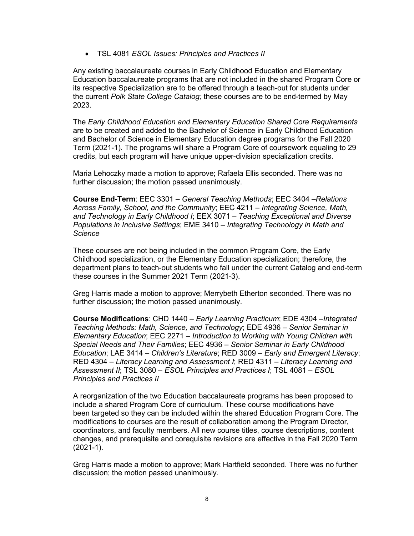• TSL 4081 *ESOL Issues: Principles and Practices II*

Any existing baccalaureate courses in Early Childhood Education and Elementary Education baccalaureate programs that are not included in the shared Program Core or its respective Specialization are to be offered through a teach-out for students under the current *Polk State College Catalog;* these courses are to be end-termed by May 2023.

The *Early Childhood Education and Elementary Education Shared Core Requirements* are to be created and added to the Bachelor of Science in Early Childhood Education and Bachelor of Science in Elementary Education degree programs for the Fall 2020 Term (2021-1). The programs will share a Program Core of coursework equaling to 29 credits, but each program will have unique upper-division specialization credits.

Maria Lehoczky made a motion to approve; Rafaela Ellis seconded. There was no further discussion; the motion passed unanimously.

**Course End-Term**: EEC 3301 – *General Teaching Methods*; EEC 3404 –*Relations Across Family, School, and the Community*; EEC 4211 – *Integrating Science, Math, and Technology in Early Childhood I*; EEX 3071 – *Teaching Exceptional and Diverse Populations in Inclusive Settings*; EME 3410 – *Integrating Technology in Math and Science*

These courses are not being included in the common Program Core, the Early Childhood specialization, or the Elementary Education specialization; therefore, the department plans to teach-out students who fall under the current Catalog and end-term these courses in the Summer 2021 Term (2021-3).

Greg Harris made a motion to approve; Merrybeth Etherton seconded. There was no further discussion; the motion passed unanimously.

**Course Modifications**: CHD 1440 – *Early Learning Practicum*; EDE 4304 –*Integrated Teaching Methods: Math, Science, and Technology*; EDE 4936 – *Senior Seminar in Elementary Education*; EEC 2271 – *Introduction to Working with Young Children with Special Needs and Their Families*; EEC 4936 – *Senior Seminar in Early Childhood Education*; LAE 3414 – *Children's Literature*; RED 3009 – *Early and Emergent Literacy*; RED 4304 – *Literacy Learning and Assessment I*; RED 4311 – *Literacy Learning and Assessment II*; TSL 3080 – *ESOL Principles and Practices I*; TSL 4081 – *ESOL Principles and Practices II*

A reorganization of the two Education baccalaureate programs has been proposed to include a shared Program Core of curriculum. These course modifications have been targeted so they can be included within the shared Education Program Core. The modifications to courses are the result of collaboration among the Program Director, coordinators, and faculty members. All new course titles, course descriptions, content changes, and prerequisite and corequisite revisions are effective in the Fall 2020 Term (2021-1).

Greg Harris made a motion to approve; Mark Hartfield seconded. There was no further discussion; the motion passed unanimously.